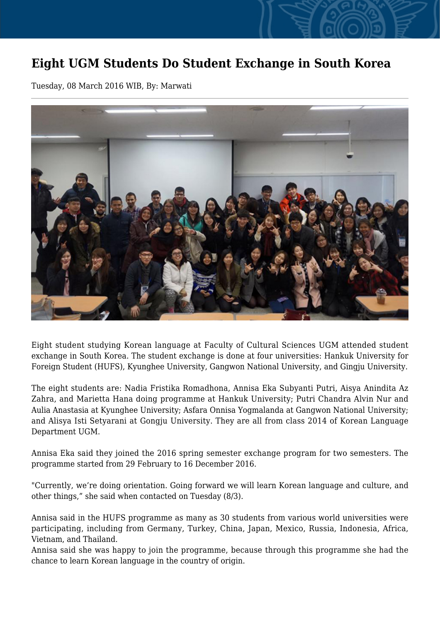## **Eight UGM Students Do Student Exchange in South Korea**

Tuesday, 08 March 2016 WIB, By: Marwati



Eight student studying Korean language at Faculty of Cultural Sciences UGM attended student exchange in South Korea. The student exchange is done at four universities: Hankuk University for Foreign Student (HUFS), Kyunghee University, Gangwon National University, and Gingju University.

The eight students are: Nadia Fristika Romadhona, Annisa Eka Subyanti Putri, Aisya Anindita Az Zahra, and Marietta Hana doing programme at Hankuk University; Putri Chandra Alvin Nur and Aulia Anastasia at Kyunghee University; Asfara Onnisa Yogmalanda at Gangwon National University; and Alisya Isti Setyarani at Gongju University. They are all from class 2014 of Korean Language Department UGM.

Annisa Eka said they joined the 2016 spring semester exchange program for two semesters. The programme started from 29 February to 16 December 2016.

"Currently, we're doing orientation. Going forward we will learn Korean language and culture, and other things," she said when contacted on Tuesday (8/3).

Annisa said in the HUFS programme as many as 30 students from various world universities were participating, including from Germany, Turkey, China, Japan, Mexico, Russia, Indonesia, Africa, Vietnam, and Thailand.

Annisa said she was happy to join the programme, because through this programme she had the chance to learn Korean language in the country of origin.